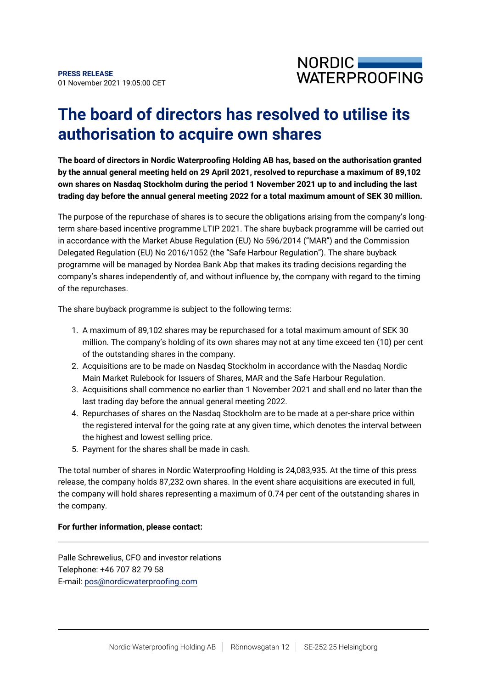

## **The board of directors has resolved to utilise its authorisation to acquire own shares**

**The board of directors in Nordic Waterproofing Holding AB has, based on the authorisation granted by the annual general meeting held on 29 April 2021, resolved to repurchase a maximum of 89,102 own shares on Nasdaq Stockholm during the period 1 November 2021 up to and including the last trading day before the annual general meeting 2022 for a total maximum amount of SEK 30 million.**

The purpose of the repurchase of shares is to secure the obligations arising from the company's longterm share-based incentive programme LTIP 2021. The share buyback programme will be carried out in accordance with the Market Abuse Regulation (EU) No 596/2014 ("MAR") and the Commission Delegated Regulation (EU) No 2016/1052 (the "Safe Harbour Regulation"). The share buyback programme will be managed by Nordea Bank Abp that makes its trading decisions regarding the company's shares independently of, and without influence by, the company with regard to the timing of the repurchases.

The share buyback programme is subject to the following terms:

- 1. A maximum of 89,102 shares may be repurchased for a total maximum amount of SEK 30 million. The company's holding of its own shares may not at any time exceed ten (10) per cent of the outstanding shares in the company.
- 2. Acquisitions are to be made on Nasdaq Stockholm in accordance with the Nasdaq Nordic Main Market Rulebook for Issuers of Shares, MAR and the Safe Harbour Regulation.
- 3. Acquisitions shall commence no earlier than 1 November 2021 and shall end no later than the last trading day before the annual general meeting 2022.
- 4. Repurchases of shares on the Nasdaq Stockholm are to be made at a per-share price within the registered interval for the going rate at any given time, which denotes the interval between the highest and lowest selling price.
- 5. Payment for the shares shall be made in cash.

The total number of shares in Nordic Waterproofing Holding is 24,083,935. At the time of this press release, the company holds 87,232 own shares. In the event share acquisitions are executed in full, the company will hold shares representing a maximum of 0.74 per cent of the outstanding shares in the company.

## **For further information, please contact:**

Palle Schrewelius, CFO and investor relations Telephone: +46 707 82 79 58 E-mail: pos@nordicwaterproofing.com